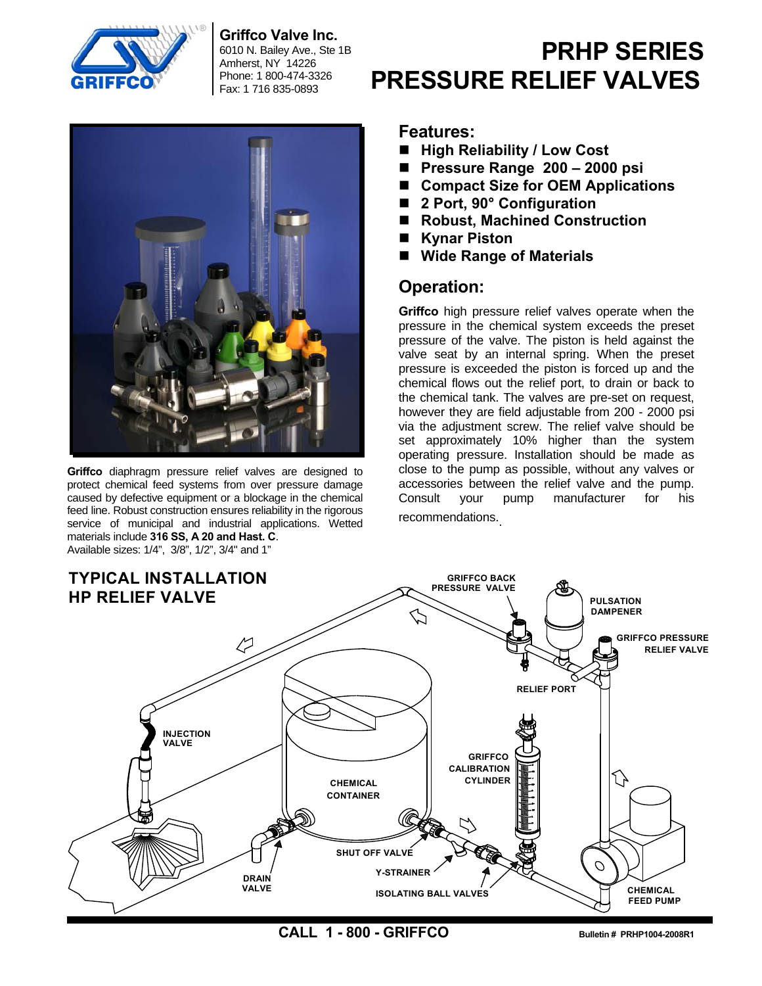

**Griffco Valve Inc.** 

6010 N. Bailey Ave., Ste 1B Amherst, NY 14226 Phone: 1 800-474-3326 Fax: 1 716 835-0893



**Griffco** diaphragm pressure relief valves are designed to protect chemical feed systems from over pressure damage caused by defective equipment or a blockage in the chemical feed line. Robust construction ensures reliability in the rigorous service of municipal and industrial applications. Wetted materials include **316 SS, A 20 and Hast. C**. Available sizes: 1/4", 3/8", 1/2", 3/4" and 1"

# **PRHP SERIES PRESSURE RELIEF VALVES**

### **Features:**

- High Reliability / Low Cost
- **Pressure Range 200 2000 psi**
- Compact Size for OEM Applications
- 2 Port, 90° Configuration
- Robust, Machined Construction
- Kynar Piston
- **Wide Range of Materials**

# **Operation:**

**Griffco** high pressure relief valves operate when the pressure in the chemical system exceeds the preset pressure of the valve. The piston is held against the valve seat by an internal spring. When the preset pressure is exceeded the piston is forced up and the chemical flows out the relief port, to drain or back to the chemical tank. The valves are pre-set on request, however they are field adjustable from 200 - 2000 psi via the adjustment screw. The relief valve should be set approximately 10% higher than the system operating pressure. Installation should be made as close to the pump as possible, without any valves or accessories between the relief valve and the pump. Consult your pump manufacturer for his recommendations..



**CALL 1 - 800 - GRIFFCO** Bulletin # PRHP1004-2008R1